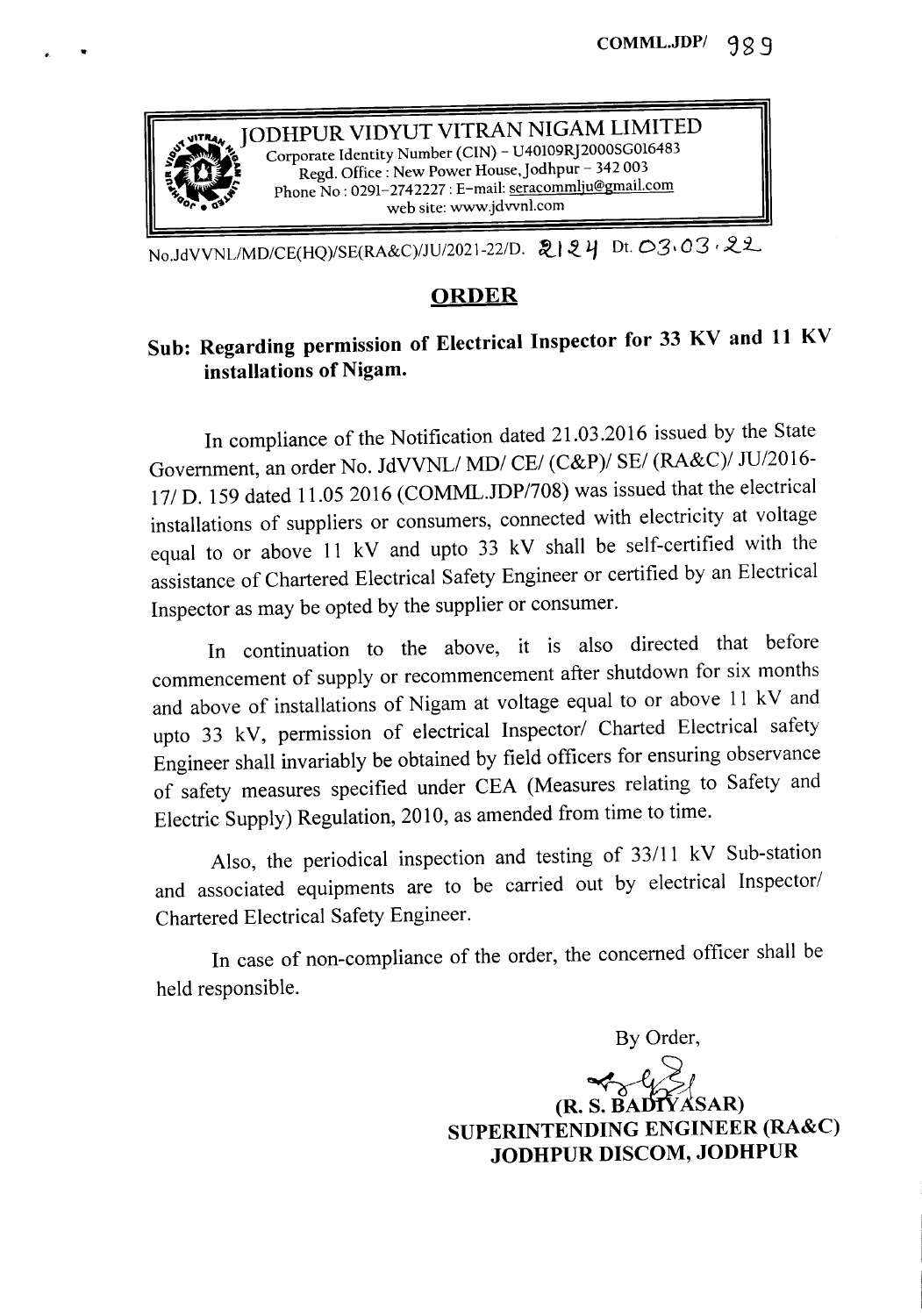

No.JdVVNL/MD/CE(HQ)/SE(RA&C)/JU/2021-22/D. 2124 Dt. 03·03·22

## ORDER

## Sub: Regarding permission of Electrical Inspector for 33 KV and 11 KV installations of Nigam.

In compliance of the Notification dated 21.03.2016 issued by the State Government, an order No. JdVVNLI *MDI CEI (C&P)I SEI (RA&C)I JU/2016-* 17/ D. 159 dated 11.05 2016 (COMML.JDP/708) was issued that the electrical installations of suppliers or consumers, connected with electricity at voltage equal to or above 11 kV and upto 33 kV shall be self-certified with the assistance of Chartered Electrical Safety Engineer or certified by an Electrical Inspector as may be opted by the supplier or consumer.

In continuation to the above, it is also directed that before commencement of supply or recommencement after shutdown for six months and above of installations of Nigam at voltage equal to or above 11 kV and upto 33 kV, permission of electrical Inspector/ Charted Electrical safety Engineer shall invariably be obtained by field officers for ensuring observance of safety measures specified under CEA (Measures relating to Safety and Electric Supply) Regulation, 2010, as amended from time to time.

Also, the periodical inspection and testing of *33/11* kV Sub-station and associated equipments are to be carried out by electrical Inspector/ Chartered Electrical Safety Engineer.

In case of non-compliance of the order, the concerned officer shall be held responsible.

By Order,

 $(R. S. BADf)$ YASAR) SUPERINTENDING ENGINEER (RA&C) JODHPUR DISCOM, JODHPUR